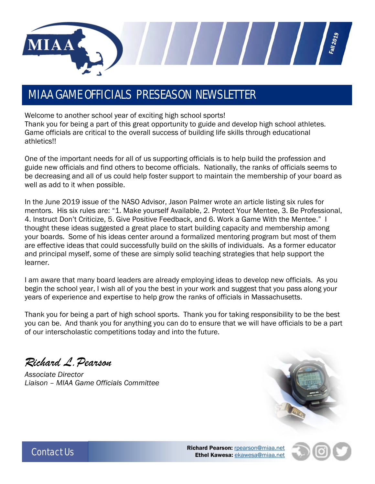

### MIAA GAME OFFICIALS PRESEASON NEWSLETTER

Welcome to another school year of exciting high school sports! Thank you for being a part of this great opportunity to guide and develop high school athletes. Game officials are critical to the overall success of building life skills through educational athletics!!

One of the important needs for all of us supporting officials is to help build the profession and guide new officials and find others to become officials. Nationally, the ranks of officials seems to be decreasing and all of us could help foster support to maintain the membership of your board as well as add to it when possible.

In the June 2019 issue of the NASO Advisor, Jason Palmer wrote an article listing six rules for mentors. His six rules are: "1. Make yourself Available, 2. Protect Your Mentee, 3. Be Professional, 4. Instruct Don't Criticize, 5. Give Positive Feedback, and 6. Work a Game With the Mentee." I thought these ideas suggested a great place to start building capacity and membership among your boards. Some of his ideas center around a formalized mentoring program but most of them are effective ideas that could successfully build on the skills of individuals. As a former educator and principal myself, some of these are simply solid teaching strategies that help support the learner.

I am aware that many board leaders are already employing ideas to develop new officials. As you begin the school year, I wish all of you the best in your work and suggest that you pass along your years of experience and expertise to help grow the ranks of officials in Massachusetts.

Thank you for being a part of high school sports. Thank you for taking responsibility to be the best you can be. And thank you for anything you can do to ensure that we will have officials to be a part of our interscholastic competitions today and into the future.

*Richard L.Pearson*

*Associate Director Liaison – MIAA Game Officials Committee* 





Contact Us **Richard Pearson:** <u>[rpearson@miaa.net](mailto:rpearson@miaa.net)</u><br>Richard Pearson: <u>rpearson@miaa.net</u> Ethel Kawesa: [ekawesa@miaa.net](mailto:ekawesa@miaa.net)

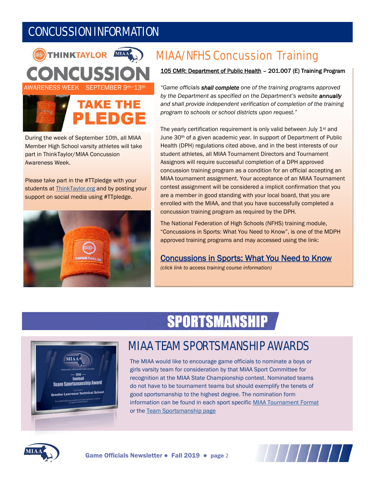## CONCUSSION INFORMATION





During the week of September 10th, all MIAA Member High School varsity athletes will take part in ThinkTaylor/MIAA Concussion Awareness Week.

Please take part in the #TTpledge with your students at [ThinkTaylor.org a](http://www.thinktaylor.org/)nd by posting your support on social media using #TTpledge.



## MIAA/NFHS Concussion Training

#### 105 CMR: Department of Public Health – 201.007 (E) Training Program

*"Game officials shall complete one of the training programs approved by the Department as specified on the Department's website annually and shall provide independent verification of completion of the training program to schools or school districts upon request."*

The yearly certification requirement is only valid between July 1<sup>st</sup> and June 30th of a given academic year. In support of Department of Public Health (DPH) regulations cited above, and in the best interests of our student athletes, all MIAA Tournament Directors and Tournament Assignors will require successful completion of a DPH approved concussion training program as a condition for an official accepting an MIAA tournament assignment. Your acceptance of an MIAA Tournament contest assignment will be considered a implicit confirmation that you are a member in good standing with your local board, that you are enrolled with the MIAA, and that you have successfully completed a concussion training program as required by the DPH.

The National Federation of High Schools (NFHS) training module, "Concussions in Sports: What You Need to Know", is one of the MDPH approved training programs and may accessed using the link:

#### [Concussions in Sports: What You Need to Know](https://nfhslearn.com/courses/61151/concussion-in-sports)

*(click link to access training course information)*

# **SPORTSMANSHIP**



#### MIAA TEAM SPORTSMANSHIP AWARDS

The MIAA would like to encourage game officials to nominate a boys or girls varsity team for consideration by that MIAA Sport Committee for recognition at the MIAA State Championship contest. Nominated teams do not have to be tournament teams but should exemplify the tenets of good sportsmanship to the highest degree. The nomination form information can be found in each sport specific [MIAA Tournament Format](http://www.miaa.net/contentm/easy_pages/view.php?page_id=22&sid=38&menu_id=207) or the [Team Sportsmanship page](http://miaa.net/contentm/easy_pages/view.php?sid=38&page_id=24)



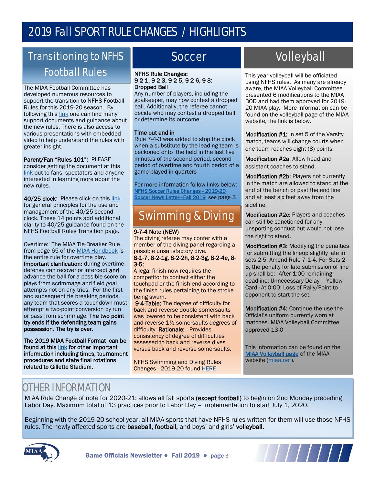## 2019 Fall SPORT RULE CHANGES / HIGHLIGHTS

### Transitioning to NFHS Football Rules **NEHS Rule Changes:**

The MIAA Football Committee has developed numerous resources to support the transition to NFHS Football Rules for this 2019-20 season. By following this [link](http://miaa.net/contentm/easy_pages/view.php?sid=38&page_id=298) one can find many support documents and guidance about the new rules. There is also access to various presentations with embedded video to help understand the rules with greater insight.

#### Parent/Fan "Rules 101": PLEASE

consider getting the document at this [link](http://miaa.net/gen/miaa_generated_bin/documents/basic_module/Parent_info_2019_082619.pdf) out to fans, spectators and anyone interested in learning more about the new rules.

40/25 clock: Please click on this [link](http://miaa.net/gen/miaa_generated_bin/documents/basic_module/MIAA_General_Principles_for_2540_play_clock.pdf) for general principles for the use and management of the 40/25 second clock. These 14 points add additional clarity to 40/25 guidance found on the NFHS Football Rules Transition page.

Overtime: The MIAA Tie-Breaker Rule from page 65 of the [MIAA Handbook](http://miaa.net/gen/miaa_generated_bin/documents/basic_module/MIAA_Handbook19_21.pdf) is the entire rule for overtime play. Important clarification: during overtime, defense can recover or intercept and advance the ball for a possible score on plays from scrimmage and field goal attempts not on any tries. For the first and subsequent tie breaking periods, any team that scores a touchdown must attempt a two-point conversion by run or pass from scrimmage. The two point try ends if the defending team gains possession. The try is over.

The 2019 MIAA Football Format can be found at this [link](http://www.miaa.net/gen/miaa_generated_bin/documents/basic_module/Football2019Format.pdf) for other important information including times, tournament procedures and state final rotations related to Gillette Stadium.

#### Soccer

#### 9-2-1, 9-2-3, 9-2-5, 9-2-6, 9-3: Dropped Ball

Any number of players, including the goalkeeper, may now contest a dropped ball. Additionally, the referee cannot decide who may contest a dropped ball or determine its outcome.

#### Time out and in

Rule 7-4-3 was added to stop the clock when a substitute by the leading team is beckoned onto the field in the last five minutes of the second period, second period of overtime and fourth period of a game played in quarters

For more information follow links below: [NFHS Soccer Rules Changes - 2019-20](https://www.nfhs.org/sports-resource-content/soccer-rules-changes-2019-20/)  [Soccer News Letter](http://miaa.net/gen/miaa_generated_bin/documents/basic_module/Soccer_Newsletter_2019sf.pdf)-Fall 2019 see page 3

### Swimming & Diving

#### 9-7-4 Note (NEW)

The diving referee may confer with a member of the diving panel regarding a possible unsatisfactory dive.

8-1-7, 8-2-1g, 8-2-2h, 8-2-3g, 8-2-4e, 8- 3-5:

A legal finish now requires the competitor to contact either the touchpad or the finish end according to the finish rules pertaining to the stroke being swum.

9-4-Table: The degree of difficulty for back and reverse double somersaults was lowered to be consistent with back and reverse 1½ somersaults degrees of difficulty. Rationale: Provides consistency of degree of difficulties assessed to back and reverse dives versus back and reverse somersaults.

NFHS Swimming and Diving Rules Changes - 2019-20 found [HERE](https://www.nfhs.org/sports-resource-content/swimming-and-diving-rules-changes-2019-20/)

## Volleyball

This year volleyball will be officiated using NFHS rules. As many are already aware, the MIAA Volleyball Committee presented 6 modifications to the MIAA BOD and had them approved for 2019- 20 MIAA play. More information can be found on the volleyball page of the MIAA website, the link is below.

Modification #1: In set 5 of the Varsity match, teams will change courts when one team reaches eight (8) points.

Modification #2a: Allow head and assistant coaches to stand.

Modification #2b: Players not currently in the match are allowed to stand at the end of the bench or past the end line and at least six feet away from the sideline.

Modification #2c: Players and coaches can still be sanctioned for any unsporting conduct but would not lose the right to stand.

Modification #3: Modifying the penalties for submitting the lineup slightly late in sets 2-5. Amend Rule 7-1-4. For Sets 2- 5, the penalty for late submission of line up shall be: · After 1:00 remaining deadline: Unnecessary Delay – Yellow Card · At 0:00: Loss of Rally/Point to opponent to start the set.

Modification #4: Continue the use the Official's uniform currently worn at matches. MIAA Volleyball Committee approved 13-0

This information can be found on the [MIAA Volleyball page](http://www.miaa.net/contentm/easy_pages/view.php?page_id=17&sid=38&menu_id=168) of the MIAA website [\(miaa.net\).](http://www.miaa.net/miaa/home?sid=38)

#### OTHER INFORMATION

MIAA Rule Change of note for 2020-21: allows all fall sports (except football) to begin on 2nd Monday preceding Labor Day. Maximum total of 13 practices prior to Labor Day – Implementation to start July 1, 2020.

Beginning with the 2019-20 school year, all MIAA sports that have NFHS rules written for them will use those NFHS rules. The newly affected sports are baseball, football, and boys' and girls' volleyball.





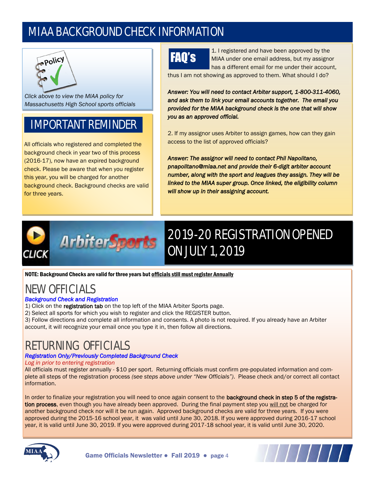### MIAA BACKGROUND CHECK INFORMATION



*Clic[k above to view th](http://www.miaa.net/gen/miaa_generated_bin/documents/basic_module/MIAA_policy_back_check_FINAL_6115.pdf)e MIAA policy for Massachusetts High School sports officials* 

# IMPORTANT REMINDER

All officials who registered and completed the background check in year two of this process (2016-17), now have an expired background check. Please be aware that when you register this year, you will be charged for another background check. Background checks are valid for three years.

# FAQ's

1. I registered and have been approved by the MIAA under one email address, but my assignor has a different email for me under their account,

thus I am not showing as approved to them. What should I do?

*Answer: You will need to contact Arbiter support, 1-800-311-4060, and ask them to link your email accounts together. The email you provided for the MIAA background check is the one that will show you as an approved official.* 

2. If my assignor uses Arbiter to assign games, how can they gain access to the list of approved officials?

*Answer: The assignor will need to contact Phil Napolitano, pnapolitano@miaa.net and provide their 6-digit arbiter account number, along with the sport and leagues they assign. They will be linked to the MIAA super group. Once linked, the eligibility column will show up in their assigning account.*



# 2019-20 REGISTRATION OPENED ON JULY 1, 2019

NOTE: Background Checks are valid for three years but officials still must register Annually

# NEW OFFICIALS

#### *Background Check and Registration*

- 1) Click on the registration tab on the top left of the MIAA Arbiter Sports page.
- 2) Select all sports for which you wish to register and click the REGISTER button.
- 3) Follow directions and complete all information and consents. A photo is not required. If you already have an Arbiter account, it will recognize your email once you type it in, then follow all directions.

### RETURNING OFFICIALS

#### *Registration Only/Previously Completed Background Check*

#### *Log in prior to entering registration*

All officials must register annually - \$10 per sport. Returning officials must confirm pre-populated information and complete all steps of the registration process *(see steps above under "New Officials")*. Please check and/or correct all contact information.

In order to finalize your registration you will need to once again consent to the background check in step 5 of the registration process, even though you have already been approved. During the final payment step you will not be charged for another background check nor will it be run again. Approved background checks are valid for three years. If you were approved during the 2015-16 school year, it was valid until June 30, 2018. If you were approved during 2016-17 school year, it is valid until June 30, 2019. If you were approved during 2017-18 school year, it is valid until June 30, 2020.